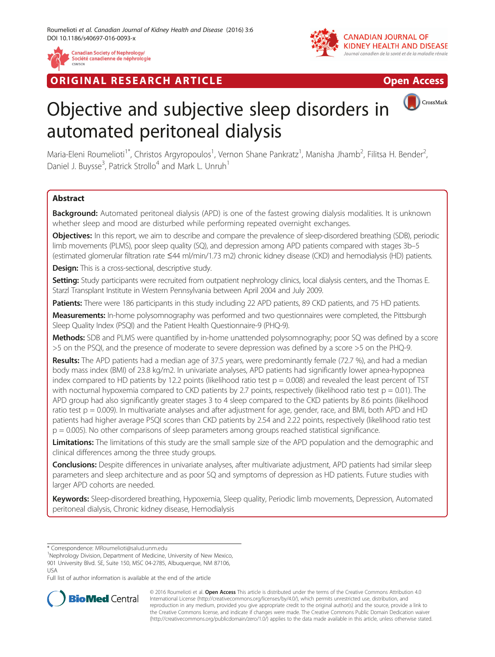

RIGINAL RESEARCH ARTICLE AND DESCRIPTION OPEN ACCESS



CrossMark

# Objective and subjective sleep disorders in automated peritoneal dialysis

Maria-Eleni Roumelioti<sup>1\*</sup>, Christos Argyropoulos<sup>1</sup>, Vernon Shane Pankratz<sup>1</sup>, Manisha Jhamb<sup>2</sup>, Filitsa H. Bender<sup>2</sup> .<br>, Daniel J. Buysse<sup>3</sup>, Patrick Strollo<sup>4</sup> and Mark L. Unruh<sup>1</sup>

# Abstract

Background: Automated peritoneal dialysis (APD) is one of the fastest growing dialysis modalities. It is unknown whether sleep and mood are disturbed while performing repeated overnight exchanges.

Objectives: In this report, we aim to describe and compare the prevalence of sleep-disordered breathing (SDB), periodic limb movements (PLMS), poor sleep quality (SQ), and depression among APD patients compared with stages 3b–5 (estimated glomerular filtration rate ≤44 ml/min/1.73 m2) chronic kidney disease (CKD) and hemodialysis (HD) patients.

**Design:** This is a cross-sectional, descriptive study.

Setting: Study participants were recruited from outpatient nephrology clinics, local dialysis centers, and the Thomas E. Starzl Transplant Institute in Western Pennsylvania between April 2004 and July 2009.

Patients: There were 186 participants in this study including 22 APD patients, 89 CKD patients, and 75 HD patients.

Measurements: In-home polysomnography was performed and two questionnaires were completed, the Pittsburgh Sleep Quality Index (PSQI) and the Patient Health Questionnaire-9 (PHQ-9).

Methods: SDB and PLMS were quantified by in-home unattended polysomnography; poor SQ was defined by a score >5 on the PSQI, and the presence of moderate to severe depression was defined by a score >5 on the PHQ-9.

Results: The APD patients had a median age of 37.5 years, were predominantly female (72.7 %), and had a median body mass index (BMI) of 23.8 kg/m2. In univariate analyses, APD patients had significantly lower apnea-hypopnea index compared to HD patients by 12.2 points (likelihood ratio test  $p = 0.008$ ) and revealed the least percent of TST with nocturnal hypoxemia compared to CKD patients by 2.7 points, respectively (likelihood ratio test  $p = 0.01$ ). The APD group had also significantly greater stages 3 to 4 sleep compared to the CKD patients by 8.6 points (likelihood ratio test  $p = 0.009$ ). In multivariate analyses and after adjustment for age, gender, race, and BMI, both APD and HD patients had higher average PSQI scores than CKD patients by 2.54 and 2.22 points, respectively (likelihood ratio test  $p = 0.005$ ). No other comparisons of sleep parameters among groups reached statistical significance.

Limitations: The limitations of this study are the small sample size of the APD population and the demographic and clinical differences among the three study groups.

Conclusions: Despite differences in univariate analyses, after multivariate adjustment, APD patients had similar sleep parameters and sleep architecture and as poor SQ and symptoms of depression as HD patients. Future studies with larger APD cohorts are needed.

Keywords: Sleep-disordered breathing, Hypoxemia, Sleep quality, Periodic limb movements, Depression, Automated peritoneal dialysis, Chronic kidney disease, Hemodialysis

\* Correspondence: [MRoumelioti@salud.unm.edu](mailto:MRoumelioti@salud.unm.edu) <sup>1</sup>

<sup>1</sup>Nephrology Division, Department of Medicine, University of New Mexico, 901 University Blvd. SE, Suite 150, MSC 04-2785, Albuquerque, NM 87106, USA

Full list of author information is available at the end of the article



© 2016 Roumelioti et al. Open Access This article is distributed under the terms of the Creative Commons Attribution 4.0 International License [\(http://creativecommons.org/licenses/by/4.0/](http://creativecommons.org/licenses/by/4.0/)), which permits unrestricted use, distribution, and reproduction in any medium, provided you give appropriate credit to the original author(s) and the source, provide a link to the Creative Commons license, and indicate if changes were made. The Creative Commons Public Domain Dedication waiver [\(http://creativecommons.org/publicdomain/zero/1.0/](http://creativecommons.org/publicdomain/zero/1.0/)) applies to the data made available in this article, unless otherwise stated.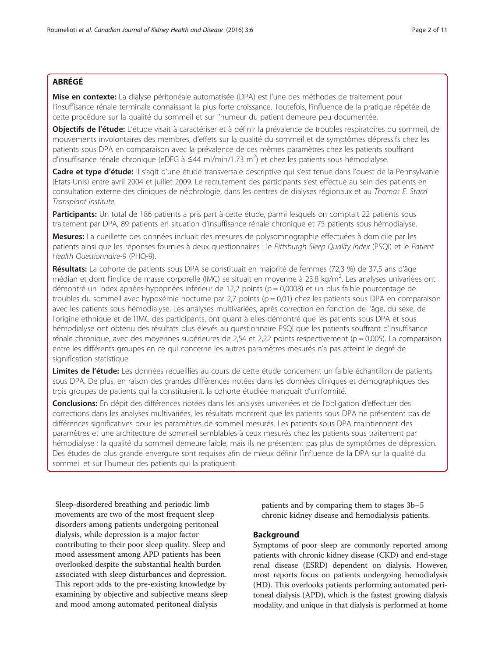# ABRÉGÉ

Mise en contexte: La dialyse péritonéale automatisée (DPA) est l'une des méthodes de traitement pour l'insuffisance rénale terminale connaissant la plus forte croissance. Toutefois, l'influence de la pratique répétée de cette procédure sur la qualité du sommeil et sur l'humeur du patient demeure peu documentée.

Objectifs de l'étude: L'étude visait à caractériser et à définir la prévalence de troubles respiratoires du sommeil, de mouvements involontaires des membres, d'effets sur la qualité du sommeil et de symptômes dépressifs chez les patients sous DPA en comparaison avec la prévalence de ces mêmes paramètres chez les patients souffrant d'insuffisance rénale chronique (eDFG à  $\leq$ 44 ml/min/1.73 m<sup>2</sup>) et chez les patients sous hémodialyse.

Cadre et type d'étude: Il s'agit d'une étude transversale descriptive qui s'est tenue dans l'ouest de la Pennsylvanie (États-Unis) entre avril 2004 et juillet 2009. Le recrutement des participants s'est effectué au sein des patients en consultation externe des cliniques de néphrologie, dans les centres de dialyses régionaux et au Thomas E. Starzl Transplant Institute.

Participants: Un total de 186 patients a pris part à cette étude, parmi lesquels on comptait 22 patients sous traitement par DPA, 89 patients en situation d'insuffisance rénale chronique et 75 patients sous hémodialyse.

Mesures: La cueillette des données incluait des mesures de polysomnographie effectuées à domicile par les patients ainsi que les réponses fournies à deux questionnaires : le Pittsburgh Sleep Quality Index (PSQI) et le Patient Health Questionnaire-9 (PHQ-9).

Résultats: La cohorte de patients sous DPA se constituait en majorité de femmes (72,3 %) de 37,5 ans d'âge médian et dont l'indice de masse corporelle (IMC) se situait en moyenne à 23,8 kg/m<sup>2</sup>. Les analyses univariées ont démontré un index apnées-hypopnées inférieur de 12,2 points (p = 0,0008) et un plus faible pourcentage de troubles du sommeil avec hypoxémie nocturne par 2,7 points (p = 0,01) chez les patients sous DPA en comparaison avec les patients sous hémodialyse. Les analyses multivariées, après correction en fonction de l'âge, du sexe, de l'origine ethnique et de l'IMC des participants, ont quant à elles démontré que les patients sous DPA et sous hémodialyse ont obtenu des résultats plus élevés au questionnaire PSQI que les patients souffrant d'insuffisance rénale chronique, avec des moyennes supérieures de 2,54 et 2,22 points respectivement (p = 0,005). La comparaison entre les différents groupes en ce qui concerne les autres paramètres mesurés n'a pas atteint le degré de signification statistique.

Limites de l'étude: Les données recueillies au cours de cette étude concernent un faible échantillon de patients sous DPA. De plus, en raison des grandes différences notées dans les données cliniques et démographiques des trois groupes de patients qui la constituaient, la cohorte étudiée manquait d'uniformité.

Conclusions: En dépit des différences notées dans les analyses univariées et de l'obligation d'effectuer des corrections dans les analyses multivariées, les résultats montrent que les patients sous DPA ne présentent pas de différences significatives pour les paramètres de sommeil mesurés. Les patients sous DPA maintiennent des paramètres et une architecture de sommeil semblables à ceux mesurés chez les patients sous traitement par hémodialyse : la qualité du sommeil demeure faible, mais ils ne présentent pas plus de symptômes de dépression. Des études de plus grande envergure sont requises afin de mieux définir l'influence de la DPA sur la qualité du sommeil et sur l'humeur des patients qui la pratiquent.

Sleep-disordered breathing and periodic limb movements are two of the most frequent sleep disorders among patients undergoing peritoneal dialysis, while depression is a major factor contributing to their poor sleep quality. Sleep and mood assessment among APD patients has been overlooked despite the substantial health burden associated with sleep disturbances and depression. This report adds to the pre-existing knowledge by examining by objective and subjective means sleep and mood among automated peritoneal dialysis

patients and by comparing them to stages 3b–5 chronic kidney disease and hemodialysis patients.

## Background

Symptoms of poor sleep are commonly reported among patients with chronic kidney disease (CKD) and end-stage renal disease (ESRD) dependent on dialysis. However, most reports focus on patients undergoing hemodialysis (HD). This overlooks patients performing automated peritoneal dialysis (APD), which is the fastest growing dialysis modality, and unique in that dialysis is performed at home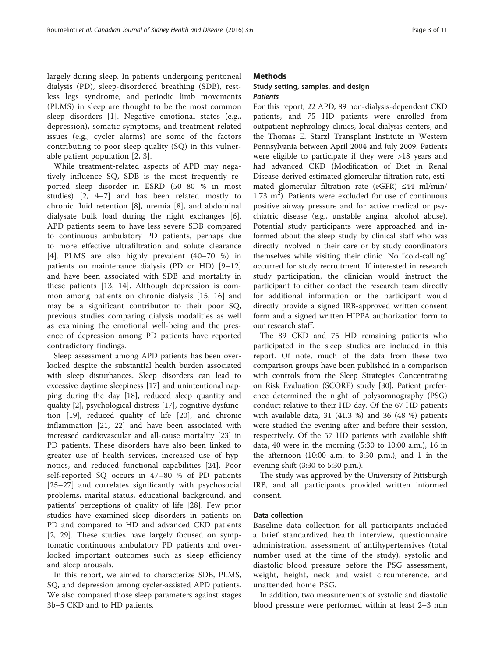largely during sleep. In patients undergoing peritoneal dialysis (PD), sleep-disordered breathing (SDB), restless legs syndrome, and periodic limb movements (PLMS) in sleep are thought to be the most common sleep disorders [\[1\]](#page-8-0). Negative emotional states (e.g., depression), somatic symptoms, and treatment-related issues (e.g., cycler alarms) are some of the factors contributing to poor sleep quality (SQ) in this vulnerable patient population [[2, 3](#page-8-0)].

While treatment-related aspects of APD may negatively influence SQ, SDB is the most frequently reported sleep disorder in ESRD (50–80 % in most studies) [\[2](#page-8-0), [4](#page-8-0)–[7\]](#page-9-0) and has been related mostly to chronic fluid retention [\[8](#page-9-0)], uremia [[8\]](#page-9-0), and abdominal dialysate bulk load during the night exchanges [\[6](#page-9-0)]. APD patients seem to have less severe SDB compared to continuous ambulatory PD patients, perhaps due to more effective ultrafiltration and solute clearance [[4\]](#page-8-0). PLMS are also highly prevalent (40–70 %) in patients on maintenance dialysis (PD or HD) [\[9](#page-9-0)–[12](#page-9-0)] and have been associated with SDB and mortality in these patients [[13, 14](#page-9-0)]. Although depression is common among patients on chronic dialysis [\[15](#page-9-0), [16](#page-9-0)] and may be a significant contributor to their poor SQ, previous studies comparing dialysis modalities as well as examining the emotional well-being and the presence of depression among PD patients have reported contradictory findings.

Sleep assessment among APD patients has been overlooked despite the substantial health burden associated with sleep disturbances. Sleep disorders can lead to excessive daytime sleepiness [\[17\]](#page-9-0) and unintentional napping during the day [[18](#page-9-0)], reduced sleep quantity and quality [\[2](#page-8-0)], psychological distress [[17\]](#page-9-0), cognitive dysfunction [[19\]](#page-9-0), reduced quality of life [[20\]](#page-9-0), and chronic inflammation [\[21](#page-9-0), [22\]](#page-9-0) and have been associated with increased cardiovascular and all-cause mortality [\[23](#page-9-0)] in PD patients. These disorders have also been linked to greater use of health services, increased use of hypnotics, and reduced functional capabilities [\[24](#page-9-0)]. Poor self-reported SQ occurs in 47–80 % of PD patients [[25](#page-9-0)–[27\]](#page-9-0) and correlates significantly with psychosocial problems, marital status, educational background, and patients' perceptions of quality of life [\[28\]](#page-9-0). Few prior studies have examined sleep disorders in patients on PD and compared to HD and advanced CKD patients [[2,](#page-8-0) [29](#page-9-0)]. These studies have largely focused on symptomatic continuous ambulatory PD patients and overlooked important outcomes such as sleep efficiency and sleep arousals.

In this report, we aimed to characterize SDB, PLMS, SQ, and depression among cycler-assisted APD patients. We also compared those sleep parameters against stages 3b–5 CKD and to HD patients.

## Methods

## Study setting, samples, and design **Patients**

For this report, 22 APD, 89 non-dialysis-dependent CKD patients, and 75 HD patients were enrolled from outpatient nephrology clinics, local dialysis centers, and the Thomas E. Starzl Transplant Institute in Western Pennsylvania between April 2004 and July 2009. Patients were eligible to participate if they were >18 years and had advanced CKD (Modification of Diet in Renal Disease-derived estimated glomerular filtration rate, estimated glomerular filtration rate (eGFR) ≤44 ml/min/  $1.73 \text{ m}^2$ ). Patients were excluded for use of continuous positive airway pressure and for active medical or psychiatric disease (e.g., unstable angina, alcohol abuse). Potential study participants were approached and informed about the sleep study by clinical staff who was directly involved in their care or by study coordinators themselves while visiting their clinic. No "cold-calling" occurred for study recruitment. If interested in research study participation, the clinician would instruct the participant to either contact the research team directly for additional information or the participant would directly provide a signed IRB-approved written consent form and a signed written HIPPA authorization form to our research staff.

The 89 CKD and 75 HD remaining patients who participated in the sleep studies are included in this report. Of note, much of the data from these two comparison groups have been published in a comparison with controls from the Sleep Strategies Concentrating on Risk Evaluation (SCORE) study [[30\]](#page-9-0). Patient preference determined the night of polysomnography (PSG) conduct relative to their HD day. Of the 67 HD patients with available data, 31 (41.3 %) and 36 (48 %) patients were studied the evening after and before their session, respectively. Of the 57 HD patients with available shift data, 40 were in the morning (5:30 to 10:00 a.m.), 16 in the afternoon  $(10:00$  a.m. to  $3:30$  p.m.), and 1 in the evening shift (3:30 to 5:30 p.m.).

The study was approved by the University of Pittsburgh IRB, and all participants provided written informed consent.

## Data collection

Baseline data collection for all participants included a brief standardized health interview, questionnaire administration, assessment of antihypertensives (total number used at the time of the study), systolic and diastolic blood pressure before the PSG assessment, weight, height, neck and waist circumference, and unattended home PSG.

In addition, two measurements of systolic and diastolic blood pressure were performed within at least 2–3 min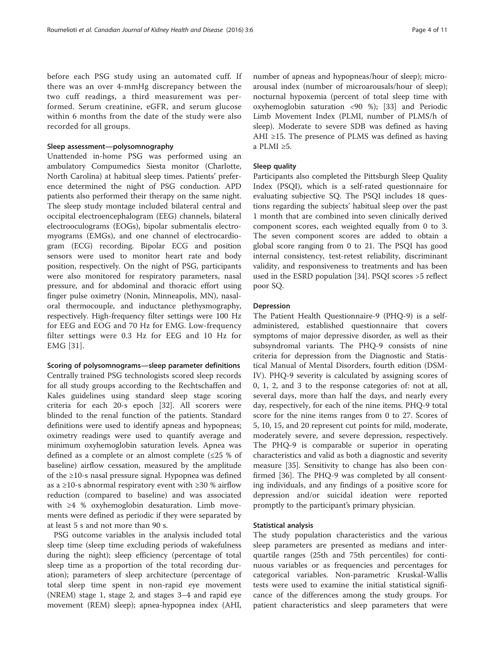before each PSG study using an automated cuff. If there was an over 4-mmHg discrepancy between the two cuff readings, a third measurement was performed. Serum creatinine, eGFR, and serum glucose within 6 months from the date of the study were also recorded for all groups.

## Sleep assessment—polysomnography

Unattended in-home PSG was performed using an ambulatory Compumedics Siesta monitor (Charlotte, North Carolina) at habitual sleep times. Patients' preference determined the night of PSG conduction. APD patients also performed their therapy on the same night. The sleep study montage included bilateral central and occipital electroencephalogram (EEG) channels, bilateral electrooculograms (EOGs), bipolar submentalis electromyograms (EMGs), and one channel of electrocardiogram (ECG) recording. Bipolar ECG and position sensors were used to monitor heart rate and body position, respectively. On the night of PSG, participants were also monitored for respiratory parameters, nasal pressure, and for abdominal and thoracic effort using finger pulse oximetry (Nonin, Minneapolis, MN), nasaloral thermocouple, and inductance plethysmography, respectively. High-frequency filter settings were 100 Hz for EEG and EOG and 70 Hz for EMG. Low-frequency filter settings were 0.3 Hz for EEG and 10 Hz for EMG [[31\]](#page-9-0).

## Scoring of polysomnograms—sleep parameter definitions

Centrally trained PSG technologists scored sleep records for all study groups according to the Rechtschaffen and Kales guidelines using standard sleep stage scoring criteria for each 20-s epoch [[32](#page-9-0)]. All scorers were blinded to the renal function of the patients. Standard definitions were used to identify apneas and hypopneas; oximetry readings were used to quantify average and minimum oxyhemoglobin saturation levels. Apnea was defined as a complete or an almost complete  $(\leq 25 \%)$  of baseline) airflow cessation, measured by the amplitude of the ≥10-s nasal pressure signal. Hypopnea was defined as a ≥10-s abnormal respiratory event with ≥30 % airflow reduction (compared to baseline) and was associated with ≥4 % oxyhemoglobin desaturation. Limb movements were defined as periodic if they were separated by at least 5 s and not more than 90 s.

PSG outcome variables in the analysis included total sleep time (sleep time excluding periods of wakefulness during the night); sleep efficiency (percentage of total sleep time as a proportion of the total recording duration); parameters of sleep architecture (percentage of total sleep time spent in non-rapid eye movement (NREM) stage 1, stage 2, and stages 3–4 and rapid eye movement (REM) sleep); apnea-hypopnea index (AHI,

number of apneas and hypopneas/hour of sleep); microarousal index (number of microarousals/hour of sleep); nocturnal hypoxemia (percent of total sleep time with oxyhemoglobin saturation <90 %); [\[33](#page-9-0)] and Periodic Limb Movement Index (PLMI, number of PLMS/h of sleep). Moderate to severe SDB was defined as having AHI ≥15. The presence of PLMS was defined as having a PLMI ≥5.

## Sleep quality

Participants also completed the Pittsburgh Sleep Quality Index (PSQI), which is a self-rated questionnaire for evaluating subjective SQ. The PSQI includes 18 questions regarding the subjects' habitual sleep over the past 1 month that are combined into seven clinically derived component scores, each weighted equally from 0 to 3. The seven component scores are added to obtain a global score ranging from 0 to 21. The PSQI has good internal consistency, test-retest reliability, discriminant validity, and responsiveness to treatments and has been used in the ESRD population [[34](#page-9-0)]. PSQI scores >5 reflect poor SQ.

## Depression

The Patient Health Questionnaire-9 (PHQ-9) is a selfadministered, established questionnaire that covers symptoms of major depressive disorder, as well as their subsyndromal variants. The PHQ-9 consists of nine criteria for depression from the Diagnostic and Statistical Manual of Mental Disorders, fourth edition (DSM-IV). PHQ-9 severity is calculated by assigning scores of 0, 1, 2, and 3 to the response categories of: not at all, several days, more than half the days, and nearly every day, respectively, for each of the nine items. PHQ-9 total score for the nine items ranges from 0 to 27. Scores of 5, 10, 15, and 20 represent cut points for mild, moderate, moderately severe, and severe depression, respectively. The PHQ-9 is comparable or superior in operating characteristics and valid as both a diagnostic and severity measure [[35](#page-9-0)]. Sensitivity to change has also been confirmed [[36\]](#page-9-0). The PHQ-9 was completed by all consenting individuals, and any findings of a positive score for depression and/or suicidal ideation were reported promptly to the participant's primary physician.

## Statistical analysis

The study population characteristics and the various sleep parameters are presented as medians and interquartile ranges (25th and 75th percentiles) for continuous variables or as frequencies and percentages for categorical variables. Non-parametric Kruskal-Wallis tests were used to examine the initial statistical significance of the differences among the study groups. For patient characteristics and sleep parameters that were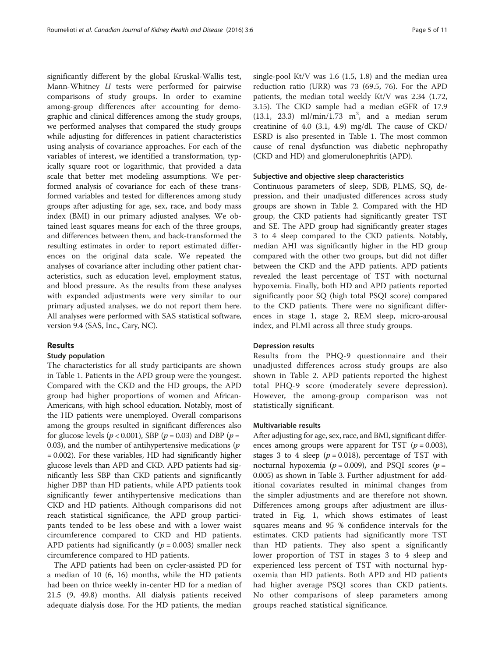significantly different by the global Kruskal-Wallis test, Mann-Whitney U tests were performed for pairwise comparisons of study groups. In order to examine among-group differences after accounting for demographic and clinical differences among the study groups, we performed analyses that compared the study groups while adjusting for differences in patient characteristics using analysis of covariance approaches. For each of the variables of interest, we identified a transformation, typically square root or logarithmic, that provided a data scale that better met modeling assumptions. We performed analysis of covariance for each of these transformed variables and tested for differences among study groups after adjusting for age, sex, race, and body mass index (BMI) in our primary adjusted analyses. We obtained least squares means for each of the three groups, and differences between them, and back-transformed the resulting estimates in order to report estimated differences on the original data scale. We repeated the analyses of covariance after including other patient characteristics, such as education level, employment status, and blood pressure. As the results from these analyses with expanded adjustments were very similar to our primary adjusted analyses, we do not report them here. All analyses were performed with SAS statistical software, version 9.4 (SAS, Inc., Cary, NC).

## Results

#### Study population

The characteristics for all study participants are shown in Table [1](#page-5-0). Patients in the APD group were the youngest. Compared with the CKD and the HD groups, the APD group had higher proportions of women and African-Americans, with high school education. Notably, most of the HD patients were unemployed. Overall comparisons among the groups resulted in significant differences also for glucose levels ( $p < 0.001$ ), SBP ( $p = 0.03$ ) and DBP ( $p =$ 0.03), and the number of antihypertensive medications  $(p)$ = 0.002). For these variables, HD had significantly higher glucose levels than APD and CKD. APD patients had significantly less SBP than CKD patients and significantly higher DBP than HD patients, while APD patients took significantly fewer antihypertensive medications than CKD and HD patients. Although comparisons did not reach statistical significance, the APD group participants tended to be less obese and with a lower waist circumference compared to CKD and HD patients. APD patients had significantly ( $p = 0.003$ ) smaller neck circumference compared to HD patients.

The APD patients had been on cycler-assisted PD for a median of 10 (6, 16) months, while the HD patients had been on thrice weekly in-center HD for a median of 21.5 (9, 49.8) months. All dialysis patients received adequate dialysis dose. For the HD patients, the median

single-pool Kt/V was 1.6 (1.5, 1.8) and the median urea reduction ratio (URR) was 73 (69.5, 76). For the APD patients, the median total weekly Kt/V was 2.34 (1.72, 3.15). The CKD sample had a median eGFR of 17.9  $(13.1, 23.3)$  ml/min/1.73 m<sup>2</sup>, and a median serum creatinine of 4.0 (3.1, 4.9) mg/dl. The cause of CKD/ ESRD is also presented in Table [1.](#page-5-0) The most common cause of renal dysfunction was diabetic nephropathy (CKD and HD) and glomerulonephritis (APD).

## Subjective and objective sleep characteristics

Continuous parameters of sleep, SDB, PLMS, SQ, depression, and their unadjusted differences across study groups are shown in Table [2.](#page-6-0) Compared with the HD group, the CKD patients had significantly greater TST and SE. The APD group had significantly greater stages 3 to 4 sleep compared to the CKD patients. Notably, median AHI was significantly higher in the HD group compared with the other two groups, but did not differ between the CKD and the APD patients. APD patients revealed the least percentage of TST with nocturnal hypoxemia. Finally, both HD and APD patients reported significantly poor SQ (high total PSQI score) compared to the CKD patients. There were no significant differences in stage 1, stage 2, REM sleep, micro-arousal index, and PLMI across all three study groups.

## Depression results

Results from the PHQ-9 questionnaire and their unadjusted differences across study groups are also shown in Table [2](#page-6-0). APD patients reported the highest total PHQ-9 score (moderately severe depression). However, the among-group comparison was not statistically significant.

## Multivariable results

After adjusting for age, sex, race, and BMI, significant differences among groups were apparent for TST  $(p = 0.003)$ , stages 3 to 4 sleep ( $p = 0.018$ ), percentage of TST with nocturnal hypoxemia ( $p = 0.009$ ), and PSQI scores ( $p =$ 0.005) as shown in Table [3.](#page-6-0) Further adjustment for additional covariates resulted in minimal changes from the simpler adjustments and are therefore not shown. Differences among groups after adjustment are illustrated in Fig. [1](#page-7-0), which shows estimates of least squares means and 95 % confidence intervals for the estimates. CKD patients had significantly more TST than HD patients. They also spent a significantly lower proportion of TST in stages 3 to 4 sleep and experienced less percent of TST with nocturnal hypoxemia than HD patients. Both APD and HD patients had higher average PSQI scores than CKD patients. No other comparisons of sleep parameters among groups reached statistical significance.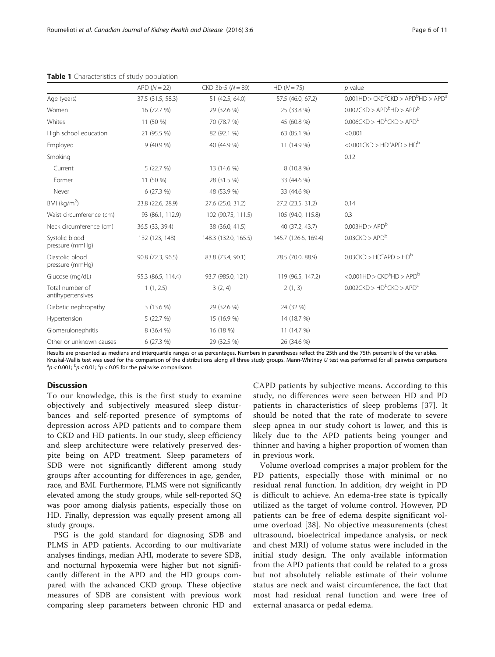|                                      | $APD(N=22)$        | $CKD$ 3b-5 $(N = 89)$ | $HD (N = 75)$        | $p$ value                                                                  |
|--------------------------------------|--------------------|-----------------------|----------------------|----------------------------------------------------------------------------|
| Age (years)                          | 37.5 (31.5, 58.3)  | 51 (42.5, 64.0)       | 57.5 (46.0, 67.2)    | $0.001$ HD > CKD <sup>c</sup> CKD > APD <sup>b</sup> HD > APD <sup>a</sup> |
| Women                                | 16 (72.7 %)        | 29 (32.6 %)           | 25 (33.8 %)          | $0.002$ CKD > APD <sup>b</sup> HD > APD <sup>b</sup>                       |
| Whites                               | 11 (50 %)          | 70 (78.7 %)           | 45 (60.8 %)          | $0.006$ CKD > HD <sup>b</sup> CKD > APD <sup>b</sup>                       |
| High school education                | 21 (95.5 %)        | 82 (92.1 %)           | 63 (85.1 %)          | < 0.001                                                                    |
| Employed                             | 9(40.9%            | 40 (44.9 %)           | 11 (14.9 %)          | $<$ 0.001CKD > HD <sup>a</sup> APD > HD <sup>b</sup>                       |
| Smoking                              |                    |                       |                      | 0.12                                                                       |
| Current                              | 5 (22.7 %)         | 13 (14.6 %)           | 8 (10.8 %)           |                                                                            |
| Former                               | 11 (50 %)          | 28 (31.5 %)           | 33 (44.6 %)          |                                                                            |
| Never                                | 6(27.3%)           | 48 (53.9 %)           | 33 (44.6 %)          |                                                                            |
| BMI ( $kg/m2$ )                      | 23.8 (22.6, 28.9)  | 27.6 (25.0, 31.2)     | 27.2 (23.5, 31.2)    | 0.14                                                                       |
| Waist circumference (cm)             | 93 (86.1, 112.9)   | 102 (90.75, 111.5)    | 105 (94.0, 115.8)    | 0.3                                                                        |
| Neck circumference (cm)              | 36.5 (33, 39.4)    | 38 (36.0, 41.5)       | 40 (37.2, 43.7)      | 0.003HD > APD <sup>b</sup>                                                 |
| Systolic blood<br>pressure (mmHq)    | 132 (123, 148)     | 148.3 (132.0, 165.5)  | 145.7 (126.6, 169.4) | $0.03$ CKD > APD <sup>b</sup>                                              |
| Diastolic blood<br>pressure (mmHq)   | 90.8 (72.3, 96.5)  | 83.8 (73.4, 90.1)     | 78.5 (70.0, 88.9)    | $0.03$ CKD > HD <sup>c</sup> APD > HD <sup>b</sup>                         |
| Glucose (mg/dL)                      | 95.3 (86.5, 114.4) | 93.7 (985.0, 121)     | 119 (96.5, 147.2)    | $<$ 0.001HD > CKD <sup>a</sup> HD > APD <sup>b</sup>                       |
| Total number of<br>antihypertensives | 1(1, 2.5)          | 3(2, 4)               | 2(1, 3)              | $0.002$ CKD > HD <sup>b</sup> CKD > APD <sup>c</sup>                       |
| Diabetic nephropathy                 | 3 (13.6 %)         | 29 (32.6 %)           | 24 (32 %)            |                                                                            |
| Hypertension                         | 5 (22.7 %)         | 15 (16.9 %)           | 14 (18.7 %)          |                                                                            |
| Glomerulonephritis                   | 8 (36.4 %)         | 16 (18 %)             | 11 (14.7 %)          |                                                                            |
| Other or unknown causes              | 6 (27.3 %)         | 29 (32.5 %)           | 26 (34.6 %)          |                                                                            |

<span id="page-5-0"></span>Table 1 Characteristics of study population

Results are presented as medians and interquartile ranges or as percentages. Numbers in parentheses reflect the 25th and the 75th percentile of the variables. Kruskal-Wallis test was used for the comparison of the distributions along all three study groups. Mann-Whitney U test was performed for all pairwise comparisons  $p < 0.001$ ;  $\rm{^b} p < 0.01$ ;  $\rm{^c} p < 0.05$  for the pairwise comparisons

## **Discussion**

To our knowledge, this is the first study to examine objectively and subjectively measured sleep disturbances and self-reported presence of symptoms of depression across APD patients and to compare them to CKD and HD patients. In our study, sleep efficiency and sleep architecture were relatively preserved despite being on APD treatment. Sleep parameters of SDB were not significantly different among study groups after accounting for differences in age, gender, race, and BMI. Furthermore, PLMS were not significantly elevated among the study groups, while self-reported SQ was poor among dialysis patients, especially those on HD. Finally, depression was equally present among all study groups.

PSG is the gold standard for diagnosing SDB and PLMS in APD patients. According to our multivariate analyses findings, median AHI, moderate to severe SDB, and nocturnal hypoxemia were higher but not significantly different in the APD and the HD groups compared with the advanced CKD group. These objective measures of SDB are consistent with previous work comparing sleep parameters between chronic HD and CAPD patients by subjective means. According to this study, no differences were seen between HD and PD patients in characteristics of sleep problems [[37](#page-9-0)]. It should be noted that the rate of moderate to severe sleep apnea in our study cohort is lower, and this is likely due to the APD patients being younger and thinner and having a higher proportion of women than in previous work.

Volume overload comprises a major problem for the PD patients, especially those with minimal or no residual renal function. In addition, dry weight in PD is difficult to achieve. An edema-free state is typically utilized as the target of volume control. However, PD patients can be free of edema despite significant volume overload [\[38\]](#page-9-0). No objective measurements (chest ultrasound, bioelectrical impedance analysis, or neck and chest MRI) of volume status were included in the initial study design. The only available information from the APD patients that could be related to a gross but not absolutely reliable estimate of their volume status are neck and waist circumference, the fact that most had residual renal function and were free of external anasarca or pedal edema.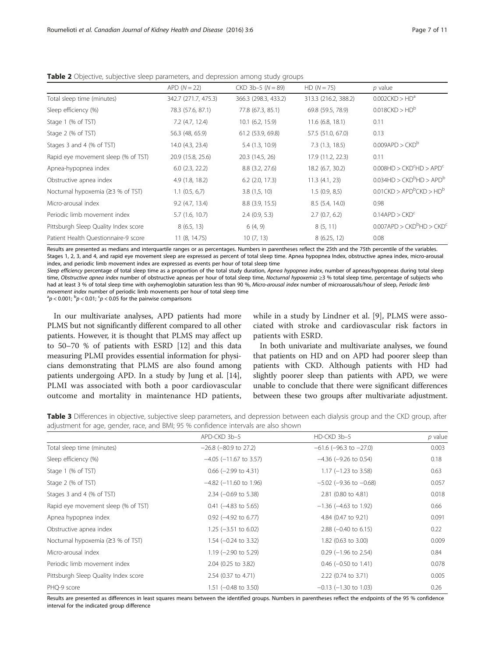|                                      | $APD(N=22)$          | $CKD$ 3b-5 $(N = 89)$ | $HD (N = 75)$        | $p$ value                                           |
|--------------------------------------|----------------------|-----------------------|----------------------|-----------------------------------------------------|
| Total sleep time (minutes)           | 342.7 (271.7, 475.3) | 366.3 (298.3, 433.2)  | 313.3 (216.2, 388.2) | $0.002$ CKD > $HD^a$                                |
| Sleep efficiency (%)                 | 78.3 (57.6, 87.1)    | 77.8 (67.3, 85.1)     | 69.8 (59.5, 78.9)    | $0.018$ CKD > HD <sup>b</sup>                       |
| Stage 1 (% of TST)                   | 7.2 (4.7, 12.4)      | $10.1$ (6.2, 15.9)    | $11.6$ (6.8, 18.1)   | 0.11                                                |
| Stage 2 (% of TST)                   | 56.3 (48, 65.9)      | 61.2 (53.9, 69.8)     | 57.5 (51.0, 67.0)    | 0.13                                                |
| Stages 3 and 4 (% of TST)            | 14.0 (4.3, 23.4)     | 5.4 (1.3, 10.9)       | 7.3(1.3, 18.5)       | $0.009$ APD > $CKDb$                                |
| Rapid eye movement sleep (% of TST)  | 20.9 (15.8, 25.6)    | 20.3 (14.5, 26)       | 17.9 (11.2, 22.3)    | 0.11                                                |
| Apnea-hypopnea index                 | $6.0$ (2.3, 22.2)    | 8.8 (3.2, 27.6)       | 18.2 (6.7, 30.2)     | $0.008HD > CKDcHD > APDc$                           |
| Obstructive apnea index              | 4.9(1.8, 18.2)       | $6.2$ (2.0, 17.3)     | 11.3(4.1, 23)        | $0.034HD > CKDbHD > APDb$                           |
| Nocturnal hypoxemia $(23 % of TST)$  | $1.1$ (0.5, 6,7)     | 3.8(1,5,10)           | 1.5(0.9, 8.5)        | $0.01$ CKD > APD <sup>b</sup> CKD > HD <sup>b</sup> |
| Micro-arousal index                  | 9.2(4.7, 13.4)       | $8.8$ (3.9, 15.5)     | 8.5(5.4, 14.0)       | 0.98                                                |
| Periodic limb movement index         | 5.7(1.6, 10.7)       | 2.4(0.9, 5.3)         | 2.7(0.7, 6.2)        | $0.14$ APD > CKD <sup>c</sup>                       |
| Pittsburgh Sleep Quality Index score | 8(6.5, 13)           | 6(4, 9)               | 8(5, 11)             | $0.007$ APD > $CKD^b$ HD > $CKD^c$                  |
| Patient Health Questionnaire-9 score | 11 (8, 14.75)        | 10(7, 13)             | 8(6.25, 12)          | 0.08                                                |

<span id="page-6-0"></span>Table 2 Objective, subjective sleep parameters, and depression among study groups

Results are presented as medians and interquartile ranges or as percentages. Numbers in parentheses reflect the 25th and the 75th percentile of the variables. Stages 1, 2, 3, and 4, and rapid eye movement sleep are expressed as percent of total sleep time. Apnea hypopnea Index, obstructive apnea index, micro-arousal index, and periodic limb movement index are expressed as events per hour of total sleep time

Sleep efficiency percentage of total sleep time as a proportion of the total study duration, Apnea hypopnea index, number of apneas/hypopneas during total sleep time, Obstructive apnea index number of obstructive apneas per hour of total sleep time, Nocturnal hypoxemia ≥3 % total sleep time, percentage of subjects who had at least 3 % of total sleep time with oxyhemoglobin saturation less than 90 %, Micro-arousal index number of microarousals/hour of sleep, Periodic limb movement index number of periodic limb movements per hour of total sleep time

 $p < 0.001$ ;  $\rm{^b} p < 0.01$ ;  $\rm{^c} p < 0.05$  for the pairwise comparisons

In our multivariate analyses, APD patients had more PLMS but not significantly different compared to all other patients. However, it is thought that PLMS may affect up to 50–70 % of patients with ESRD [\[12\]](#page-9-0) and this data measuring PLMI provides essential information for physicians demonstrating that PLMS are also found among patients undergoing APD. In a study by Jung et al. [[14](#page-9-0)], PLMI was associated with both a poor cardiovascular outcome and mortality in maintenance HD patients,

while in a study by Lindner et al. [[9\]](#page-9-0), PLMS were associated with stroke and cardiovascular risk factors in patients with ESRD.

In both univariate and multivariate analyses, we found that patients on HD and on APD had poorer sleep than patients with CKD. Although patients with HD had slightly poorer sleep than patients with APD, we were unable to conclude that there were significant differences between these two groups after multivariate adjustment.

Table 3 Differences in objective, subjective sleep parameters, and depression between each dialysis group and the CKD group, after adjustment for age, gender, race, and BMI; 95 % confidence intervals are also shown

|                                      | APD-CKD 3b-5                    | HD-CKD 3b-5                    | $p$ value |
|--------------------------------------|---------------------------------|--------------------------------|-----------|
| Total sleep time (minutes)           | $-26.8$ ( $-80.9$ to 27.2)      | $-61.6$ ( $-96.3$ to $-27.0$ ) | 0.003     |
| Sleep efficiency (%)                 | $-4.05$ ( $-11.67$ to 3.57)     | $-4.36$ ( $-9.26$ to 0.54)     | 0.18      |
| Stage 1 (% of TST)                   | $0.66$ (-2.99 to 4.31)          | $1.17$ (-1.23 to 3.58)         | 0.63      |
| Stage 2 (% of TST)                   | $-4.82$ ( $-11.60$ to 1.96)     | $-5.02$ ( $-9.36$ to $-0.68$ ) | 0.057     |
| Stages 3 and 4 (% of TST)            | $2.34$ (-0.69 to 5.38)          | 2.81 (0.80 to 4.81)            | 0.018     |
| Rapid eye movement sleep (% of TST)  | $0.41$ (-4.83 to 5.65)          | $-1.36$ ( $-4.63$ to 1.92)     | 0.66      |
| Apnea hypopnea index                 | $0.92$ (-4.92 to 6.77)          | 4.84 (0.47 to 9.21)            | 0.091     |
| Obstructive apnea index              | $1.25$ (-3.51 to 6.02)          | $2.88$ (-0.40 to 6.15)         | 0.22      |
| Nocturnal hypoxemia $(23 % of TST)$  | $1.54$ (-0.24 to 3.32)          | 1.82 (0.63 to 3.00)            | 0.009     |
| Micro-arousal index                  | 1.19 $(-2.90 \text{ to } 5.29)$ | $0.29$ (-1.96 to 2.54)         | 0.84      |
| Periodic limb movement index         | 2.04 (0.25 to 3.82)             | $0.46$ (-0.50 to 1.41)         | 0.078     |
| Pittsburgh Sleep Quality Index score | 2.54 (0.37 to 4.71)             | 2.22 (0.74 to 3.71)            | 0.005     |
| PHQ-9 score                          | $1.51$ (-0.48 to 3.50)          | $-0.13$ ( $-1.30$ to 1.03)     | 0.26      |

Results are presented as differences in least squares means between the identified groups. Numbers in parentheses reflect the endpoints of the 95 % confidence interval for the indicated group difference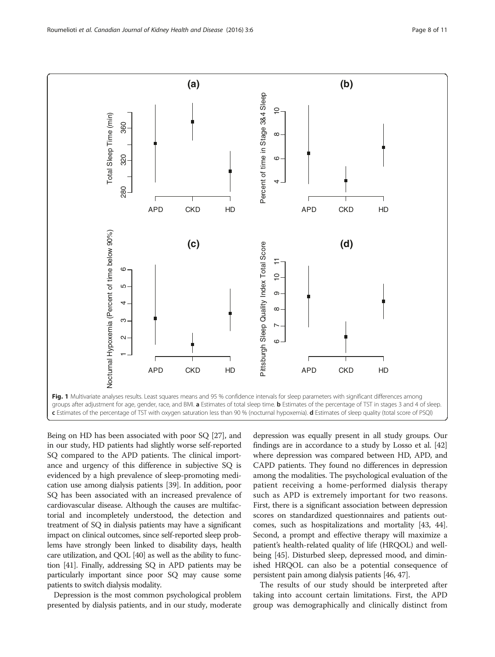<span id="page-7-0"></span>

Being on HD has been associated with poor SQ [[27](#page-9-0)], and in our study, HD patients had slightly worse self-reported SQ compared to the APD patients. The clinical importance and urgency of this difference in subjective SQ is evidenced by a high prevalence of sleep-promoting medication use among dialysis patients [[39](#page-9-0)]. In addition, poor SQ has been associated with an increased prevalence of cardiovascular disease. Although the causes are multifactorial and incompletely understood, the detection and treatment of SQ in dialysis patients may have a significant impact on clinical outcomes, since self-reported sleep problems have strongly been linked to disability days, health care utilization, and QOL [[40](#page-9-0)] as well as the ability to function [\[41\]](#page-9-0). Finally, addressing SQ in APD patients may be particularly important since poor SQ may cause some patients to switch dialysis modality.

Depression is the most common psychological problem presented by dialysis patients, and in our study, moderate

depression was equally present in all study groups. Our findings are in accordance to a study by Losso et al. [[42](#page-9-0)] where depression was compared between HD, APD, and CAPD patients. They found no differences in depression among the modalities. The psychological evaluation of the patient receiving a home-performed dialysis therapy such as APD is extremely important for two reasons. First, there is a significant association between depression scores on standardized questionnaires and patients outcomes, such as hospitalizations and mortality [[43](#page-9-0), [44](#page-9-0)]. Second, a prompt and effective therapy will maximize a patient's health-related quality of life (HRQOL) and wellbeing [\[45\]](#page-9-0). Disturbed sleep, depressed mood, and diminished HRQOL can also be a potential consequence of persistent pain among dialysis patients [\[46, 47](#page-9-0)].

The results of our study should be interpreted after taking into account certain limitations. First, the APD group was demographically and clinically distinct from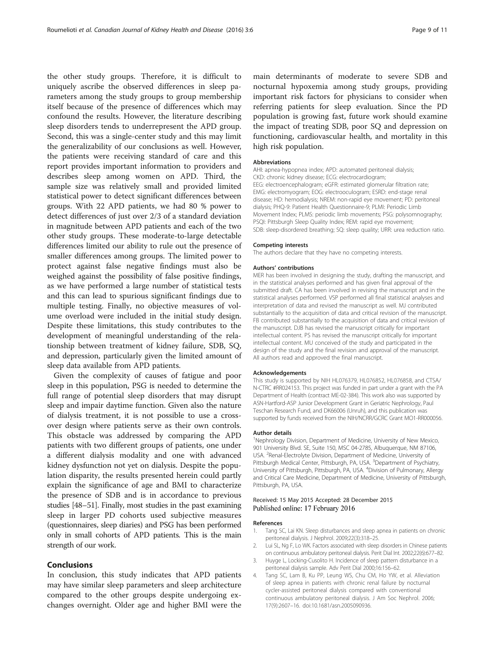<span id="page-8-0"></span>the other study groups. Therefore, it is difficult to uniquely ascribe the observed differences in sleep parameters among the study groups to group membership itself because of the presence of differences which may confound the results. However, the literature describing sleep disorders tends to underrepresent the APD group. Second, this was a single-center study and this may limit the generalizability of our conclusions as well. However, the patients were receiving standard of care and this report provides important information to providers and describes sleep among women on APD. Third, the sample size was relatively small and provided limited statistical power to detect significant differences between groups. With 22 APD patients, we had 80 % power to detect differences of just over 2/3 of a standard deviation in magnitude between APD patients and each of the two other study groups. These moderate-to-large detectable differences limited our ability to rule out the presence of smaller differences among groups. The limited power to protect against false negative findings must also be weighed against the possibility of false positive findings, as we have performed a large number of statistical tests and this can lead to spurious significant findings due to multiple testing. Finally, no objective measures of volume overload were included in the initial study design. Despite these limitations, this study contributes to the development of meaningful understanding of the relationship between treatment of kidney failure, SDB, SQ, and depression, particularly given the limited amount of sleep data available from APD patients.

Given the complexity of causes of fatigue and poor sleep in this population, PSG is needed to determine the full range of potential sleep disorders that may disrupt sleep and impair daytime function. Given also the nature of dialysis treatment, it is not possible to use a crossover design where patients serve as their own controls. This obstacle was addressed by comparing the APD patients with two different groups of patients, one under a different dialysis modality and one with advanced kidney dysfunction not yet on dialysis. Despite the population disparity, the results presented herein could partly explain the significance of age and BMI to characterize the presence of SDB and is in accordance to previous studies [[48](#page-9-0)–[51](#page-10-0)]. Finally, most studies in the past examining sleep in larger PD cohorts used subjective measures (questionnaires, sleep diaries) and PSG has been performed only in small cohorts of APD patients. This is the main strength of our work.

## Conclusions

In conclusion, this study indicates that APD patients may have similar sleep parameters and sleep architecture compared to the other groups despite undergoing exchanges overnight. Older age and higher BMI were the

main determinants of moderate to severe SDB and nocturnal hypoxemia among study groups, providing important risk factors for physicians to consider when referring patients for sleep evaluation. Since the PD population is growing fast, future work should examine the impact of treating SDB, poor SQ and depression on functioning, cardiovascular health, and mortality in this high risk population.

## Abbreviations

AHI: apnea-hypopnea index; APD: automated peritoneal dialysis; CKD: chronic kidney disease; ECG: electrocardiogram; EEG: electroencephalogram; eGFR: estimated glomerular filtration rate; EMG: electromyogram; EOG: electrooculogram; ESRD: end-stage renal disease; HD: hemodialysis; NREM: non-rapid eye movement; PD: peritoneal dialysis; PHQ-9: Patient Health Questionnaire-9; PLMI: Periodic Limb Movement Index; PLMS: periodic limb movements; PSG: polysomnography; PSQI: Pittsburgh Sleep Quality Index; REM: rapid eye movement; SDB: sleep-disordered breathing; SQ: sleep quality; URR: urea reduction ratio.

#### Competing interests

The authors declare that they have no competing interests.

#### Authors' contributions

MER has been involved in designing the study, drafting the manuscript, and in the statistical analyses performed and has given final approval of the submitted draft. CA has been involved in revising the manuscript and in the statistical analyses performed. VSP performed all final statistical analyses and interpretation of data and revised the manuscript as well. MJ contributed substantially to the acquisition of data and critical revision of the manuscript. FB contributed substantially to the acquisition of data and critical revision of the manuscript. DJB has revised the manuscript critically for important intellectual content. PS has revised the manuscript critically for important intellectual content. MU conceived of the study and participated in the design of the study and the final revision and approval of the manuscript. All authors read and approved the final manuscript.

#### Acknowledgements

This study is supported by NIH HL076379, HL076852, HL076858, and CTSA/ N-CTRC #RR024153. This project was funded in part under a grant with the PA Department of Health (contract ME-02-384). This work also was supported by ASN-Hartford-ASP Junior Development Grant in Geriatric Nephrology, Paul Teschan Research Fund, and DK66006 (Unruh), and this publication was supported by funds received from the NIH/NCRR/GCRC Grant MO1-RR000056.

#### Author details

<sup>1</sup>Nephrology Division, Department of Medicine, University of New Mexico, 901 University Blvd. SE, Suite 150, MSC 04-2785, Albuquerque, NM 87106, USA. <sup>2</sup> Renal-Electrolyte Division, Department of Medicine, University of Pittsburgh Medical Center, Pittsburgh, PA, USA. <sup>3</sup>Department of Psychiatry, University of Pittsburgh, Pittsburgh, PA, USA. <sup>4</sup>Division of Pulmonary, Allergy and Critical Care Medicine, Department of Medicine, University of Pittsburgh, Pittsburgh, PA, USA.

#### Received: 15 May 2015 Accepted: 28 December 2015 Published online: 17 February 2016

#### References

- 1. Tang SC, Lai KN. Sleep disturbances and sleep apnea in patients on chronic peritoneal dialysis. J Nephrol. 2009;22(3):318–25.
- 2. Lui SL, Ng F, Lo WK. Factors associated with sleep disorders in Chinese patients on continuous ambulatory peritoneal dialysis. Perit Dial Int. 2002;22(6):677–82.
- 3. Huyge L, Locking-Cusolito H. Incidence of sleep pattern disturbance in a peritoneal dialysis sample. Adv Perit Dial 2000;16:156–62.
- Tang SC, Lam B, Ku PP, Leung WS, Chu CM, Ho YW, et al. Alleviation of sleep apnea in patients with chronic renal failure by nocturnal cycler-assisted peritoneal dialysis compared with conventional continuous ambulatory peritoneal dialysis. J Am Soc Nephrol. 2006; 17(9):2607–16. doi:[10.1681/asn.2005090936.](http://dx.doi.org/10.1681/asn.2005090936)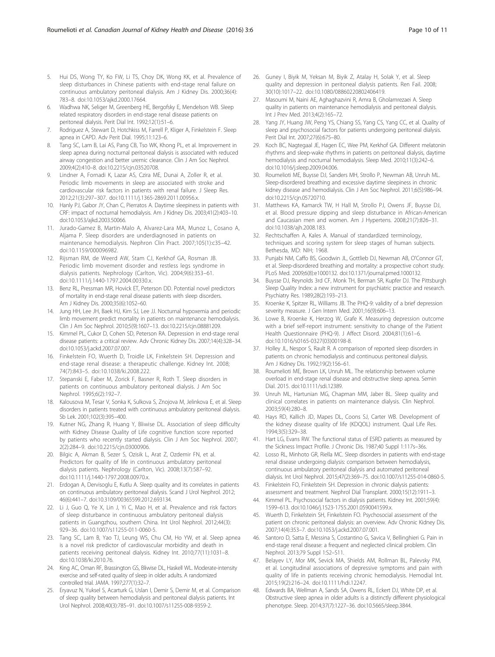- <span id="page-9-0"></span>5. Hui DS, Wong TY, Ko FW, Li TS, Choy DK, Wong KK, et al. Prevalence of sleep disturbances in Chinese patients with end-stage renal failure on continuous ambulatory peritoneal dialysis. Am J Kidney Dis. 2000;36(4): 783–8. doi[:10.1053/ajkd.2000.17664.](http://dx.doi.org/10.1053/ajkd.2000.17664)
- 6. Wadhwa NK, Seliger M, Greenberg HE, Bergofsky E, Mendelson WB. Sleep related respiratory disorders in end-stage renal disease patients on peritoneal dialysis. Perit Dial Int. 1992;12(1):51–6.
- 7. Rodriguez A, Stewart D, Hotchkiss M, Farrell P, Kliger A, Finkelstein F. Sleep apnea in CAPD. Adv Perit Dial. 1995;11:123–6.
- 8. Tang SC, Lam B, Lai AS, Pang CB, Tso WK, Khong PL, et al. Improvement in sleep apnea during nocturnal peritoneal dialysis is associated with reduced airway congestion and better uremic clearance. Clin J Am Soc Nephrol. 2009;4(2):410–8. doi[:10.2215/cjn.03520708](http://dx.doi.org/10.2215/cjn.03520708).
- 9. Lindner A, Fornadi K, Lazar AS, Czira ME, Dunai A, Zoller R, et al. Periodic limb movements in sleep are associated with stroke and cardiovascular risk factors in patients with renal failure. J Sleep Res. 2012;21(3):297–307. doi:[10.1111/j.1365-2869.2011.00956.x.](http://dx.doi.org/10.1111/j.1365-2869.2011.00956.x)
- 10. Hanly PJ, Gabor JY, Chan C, Pierratos A. Daytime sleepiness in patients with CRF: impact of nocturnal hemodialysis. Am J Kidney Dis. 2003;41(2):403–10. doi[:10.1053/ajkd.2003.50066.](http://dx.doi.org/10.1053/ajkd.2003.50066)
- 11. Jurado-Gamez B, Martin-Malo A, Alvarez-Lara MA, Munoz L, Cosano A, Aljama P. Sleep disorders are underdiagnosed in patients on maintenance hemodialysis. Nephron Clin Pract. 2007;105(1):c35–42. doi:[10.1159/000096982.](http://dx.doi.org/10.1159/000096982)
- 12. Rijsman RM, de Weerd AW, Stam CJ, Kerkhof GA, Rosman JB. Periodic limb movement disorder and restless legs syndrome in dialysis patients. Nephrology (Carlton, Vic). 2004;9(6):353–61. doi:[10.1111/j.1440-1797.2004.00330.x](http://dx.doi.org/10.1111/j.1440-1797.2004.00330.x).
- 13. Benz RL, Pressman MR, Hovick ET, Peterson DD. Potential novel predictors of mortality in end-stage renal disease patients with sleep disorders. Am J Kidney Dis. 2000;35(6):1052–60.
- 14. Jung HH, Lee JH, Baek HJ, Kim SJ, Lee JJ. Nocturnal hypoxemia and periodic limb movement predict mortality in patients on maintenance hemodialysis. Clin J Am Soc Nephrol. 2010;5(9):1607–13. doi[:10.2215/cjn.08881209](http://dx.doi.org/10.2215/cjn.08881209).
- 15. Kimmel PL, Cukor D, Cohen SD, Peterson RA. Depression in end-stage renal disease patients: a critical review. Adv Chronic Kidney Dis. 2007;14(4):328–34. doi[:10.1053/j.ackd.2007.07.007](http://dx.doi.org/10.1053/j.ackd.2007.07.007).
- 16. Finkelstein FO, Wuerth D, Troidle LK, Finkelstein SH. Depression and end-stage renal disease: a therapeutic challenge. Kidney Int. 2008; 74(7):843–5. doi[:10.1038/ki.2008.222.](http://dx.doi.org/10.1038/ki.2008.222)
- 17. Stepanski E, Faber M, Zorick F, Basner R, Roth T. Sleep disorders in patients on continuous ambulatory peritoneal dialysis. J Am Soc Nephrol. 1995;6(2):192–7.
- 18. Kalousova M, Tesar V, Sonka K, Sulkova S, Znojova M, Jelinkova E, et al. Sleep disorders in patients treated with continuous ambulatory peritoneal dialysis. Sb Lek. 2001;102(3):395–400.
- 19. Kutner NG, Zhang R, Huang Y, Bliwise DL. Association of sleep difficulty with Kidney Disease Quality of Life cognitive function score reported by patients who recently started dialysis. Clin J Am Soc Nephrol. 2007; 2(2):284–9. doi[:10.2215/cjn.03000906](http://dx.doi.org/10.2215/cjn.03000906).
- 20. Bilgic A, Akman B, Sezer S, Ozisik L, Arat Z, Ozdemir FN, et al. Predictors for quality of life in continuous ambulatory peritoneal dialysis patients. Nephrology (Carlton, Vic). 2008;13(7):587–92. doi[:10.1111/j.1440-1797.2008.00970.x.](http://dx.doi.org/10.1111/j.1440-1797.2008.00970.x)
- 21. Erdogan A, Dervisoglu E, Kutlu A. Sleep quality and its correlates in patients on continuous ambulatory peritoneal dialysis. Scand J Urol Nephrol. 2012; 46(6):441–7. doi:[10.3109/00365599.2012.693134.](http://dx.doi.org/10.3109/00365599.2012.693134)
- 22. Li J, Guo Q, Ye X, Lin J, Yi C, Mao H, et al. Prevalence and risk factors of sleep disturbance in continuous ambulatory peritoneal dialysis patients in Guangzhou, southern China. Int Urol Nephrol. 2012;44(3): 929–36. doi:[10.1007/s11255-011-0060-5](http://dx.doi.org/10.1007/s11255-011-0060-5).
- 23. Tang SC, Lam B, Yao TJ, Leung WS, Chu CM, Ho YW, et al. Sleep apnea is a novel risk predictor of cardiovascular morbidity and death in patients receiving peritoneal dialysis. Kidney Int. 2010;77(11):1031–8. doi[:10.1038/ki.2010.76](http://dx.doi.org/10.1038/ki.2010.76).
- 24. King AC, Oman RF, Brassington GS, Bliwise DL, Haskell WL. Moderate-intensity exercise and self-rated quality of sleep in older adults. A randomized controlled trial. JAMA. 1997;277(1):32–7.
- 25. Eryavuz N, Yuksel S, Acarturk G, Uslan I, Demir S, Demir M, et al. Comparison of sleep quality between hemodialysis and peritoneal dialysis patients. Int Urol Nephrol. 2008;40(3):785–91. doi[:10.1007/s11255-008-9359-2](http://dx.doi.org/10.1007/s11255-008-9359-2).
- 26. Guney I, Biyik M, Yeksan M, Biyik Z, Atalay H, Solak Y, et al. Sleep quality and depression in peritoneal dialysis patients. Ren Fail. 2008; 30(10):1017–22. doi[:10.1080/08860220802406419.](http://dx.doi.org/10.1080/08860220802406419)
- 27. Masoumi M, Naini AE, Aghaghazvini R, Amra B, Gholamrezaei A. Sleep quality in patients on maintenance hemodialysis and peritoneal dialysis. Int J Prev Med. 2013;4(2):165–72.
- Yang JY, Huang JW, Peng YS, Chiang SS, Yang CS, Yang CC, et al. Quality of sleep and psychosocial factors for patients undergoing peritoneal dialysis. Perit Dial Int. 2007;27(6):675–80.
- 29. Koch BC, Nagtegaal JE, Hagen EC, Wee PM, Kerkhof GA. Different melatonin rhythms and sleep-wake rhythms in patients on peritoneal dialysis, daytime hemodialysis and nocturnal hemodialysis. Sleep Med. 2010;11(3):242–6. doi[:10.1016/j.sleep.2009.04.006.](http://dx.doi.org/10.1016/j.sleep.2009.04.006)
- 30. Roumelioti ME, Buysse DJ, Sanders MH, Strollo P, Newman AB, Unruh ML. Sleep-disordered breathing and excessive daytime sleepiness in chronic kidney disease and hemodialysis. Clin J Am Soc Nephrol. 2011;6(5):986–94. doi:10.2215/cin.05720710.
- 31. Matthews KA, Kamarck TW, H Hall M, Strollo PJ, Owens JF, Buysse DJ, et al. Blood pressure dipping and sleep disturbance in African-American and Caucasian men and women. Am J Hypertens. 2008;21(7):826–31. doi[:10.1038/ajh.2008.183.](http://dx.doi.org/10.1038/ajh.2008.183)
- 32. Rechtschaffen A, Kales A. Manual of standardized terminology, techniques and scoring system for sleep stages of human subjects. Bethesda, MD: NIH; 1968.
- 33. Punjabi NM, Caffo BS, Goodwin JL, Gottlieb DJ, Newman AB, O'Connor GT, et al. Sleep-disordered breathing and mortality: a prospective cohort study. PLoS Med. 2009;6(8):e1000132. doi[:10.1371/journal.pmed.1000132.](http://dx.doi.org/10.1371/journal.pmed.1000132)
- 34. Buysse DJ, Reynolds 3rd CF, Monk TH, Berman SR, Kupfer DJ. The Pittsburgh Sleep Quality Index: a new instrument for psychiatric practice and research. Psychiatry Res. 1989;28(2):193–213.
- 35. Kroenke K, Spitzer RL, Williams JB. The PHQ-9: validity of a brief depression severity measure. J Gen Intern Med. 2001;16(9):606–13.
- 36. Lowe B, Kroenke K, Herzog W, Grafe K. Measuring depression outcome with a brief self-report instrument: sensitivity to change of the Patient Health Questionnaire (PHQ-9). J Affect Disord. 2004;81(1):61–6. doi[:10.1016/s0165-0327\(03\)00198-8](http://dx.doi.org/10.1016/s0165-0327(03)00198-8).
- 37. Holley JL, Nespor S, Rault R. A comparison of reported sleep disorders in patients on chronic hemodialysis and continuous peritoneal dialysis. Am J Kidney Dis. 1992;19(2):156–61.
- 38. Roumelioti ME, Brown LK, Unruh ML. The relationship between volume overload in end-stage renal disease and obstructive sleep apnea. Semin Dial. 2015. doi[:10.1111/sdi.12389](http://dx.doi.org/10.1111/sdi.12389).
- Unruh ML, Hartunian MG, Chapman MM, Jaber BL. Sleep quality and clinical correlates in patients on maintenance dialysis. Clin Nephrol. 2003;59(4):280–8.
- 40. Hays RD, Kallich JD, Mapes DL, Coons SJ, Carter WB. Development of the kidney disease quality of life (KDQOL) instrument. Qual Life Res. 1994;3(5):329–38.
- 41. Hart LG, Evans RW. The functional status of ESRD patients as measured by the Sickness Impact Profile. J Chronic Dis. 1987;40 Suppl 1:117s–36s.
- 42. Losso RL, Minhoto GR, Riella MC. Sleep disorders in patients with end-stage renal disease undergoing dialysis: comparison between hemodialysis, continuous ambulatory peritoneal dialysis and automated peritoneal dialysis. Int Urol Nephrol. 2015;47(2):369–75. doi:[10.1007/s11255-014-0860-5](http://dx.doi.org/10.1007/s11255-014-0860-5).
- 43. Finkelstein FO, Finkelstein SH. Depression in chronic dialysis patients: assessment and treatment. Nephrol Dial Transplant. 2000;15(12):1911–3.
- 44. Kimmel PL. Psychosocial factors in dialysis patients. Kidney Int. 2001;59(4): 1599–613. doi:[10.1046/j.1523-1755.2001.0590041599.x](http://dx.doi.org/10.1046/j.1523-1755.2001.0590041599.x).
- 45. Wuerth D, Finkelstein SH, Finkelstein FO. Psychosocial assessment of the patient on chronic peritoneal dialysis: an overview. Adv Chronic Kidney Dis. 2007;14(4):353–7. doi:[10.1053/j.ackd.2007.07.001.](http://dx.doi.org/10.1053/j.ackd.2007.07.001)
- 46. Santoro D, Satta E, Messina S, Costantino G, Savica V, Bellinghieri G. Pain in end-stage renal disease: a frequent and neglected clinical problem. Clin Nephrol. 2013;79 Suppl 1:S2–S11.
- 47. Belayev LY, Mor MK, Sevick MA, Shields AM, Rollman BL, Palevsky PM, et al. Longitudinal associations of depressive symptoms and pain with quality of life in patients receiving chronic hemodialysis. Hemodial Int. 2015;19(2):216–24. doi:[10.1111/hdi.12247.](http://dx.doi.org/10.1111/hdi.12247)
- 48. Edwards BA, Wellman A, Sands SA, Owens RL, Eckert DJ, White DP, et al. Obstructive sleep apnea in older adults is a distinctly different physiological phenotype. Sleep. 2014;37(7):1227–36. doi:[10.5665/sleep.3844](http://dx.doi.org/10.5665/sleep.3844).